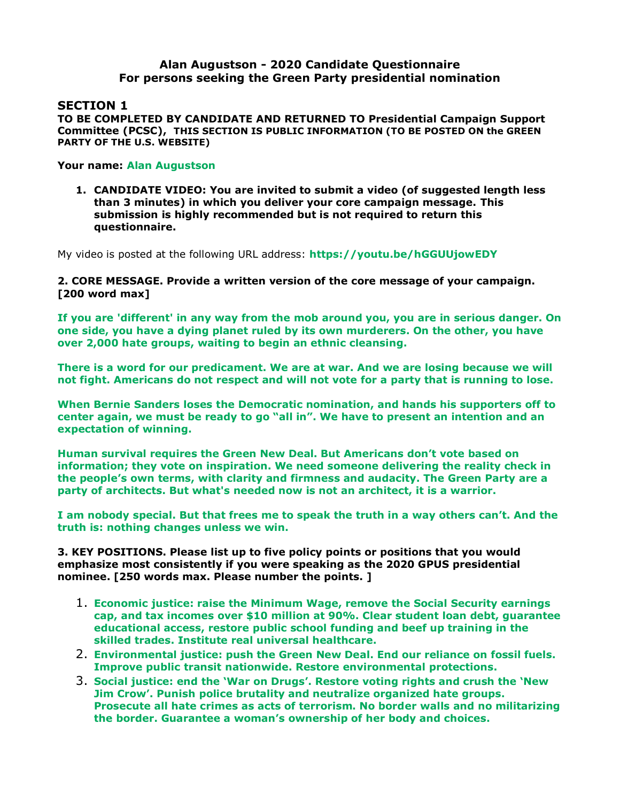## **Alan Augustson - 2020 Candidate Questionnaire For persons seeking the Green Party presidential nomination**

## **SECTION 1**

**TO BE COMPLETED BY CANDIDATE AND RETURNED TO Presidential Campaign Support Committee (PCSC), THIS SECTION IS PUBLIC INFORMATION (TO BE POSTED ON the GREEN PARTY OF THE U.S. WEBSITE)** 

## **Your name: Alan Augustson**

**1. CANDIDATE VIDEO: You are invited to submit a video (of suggested length less than 3 minutes) in which you deliver your core campaign message. This submission is highly recommended but is not required to return this questionnaire.** 

My video is posted at the following URL address: **<https://youtu.be/hGGUUjowEDY>**

**2. CORE MESSAGE. Provide a written version of the core message of your campaign. [200 word max]**

**If you are 'different' in any way from the mob around you, you are in serious danger. On one side, you have a dying planet ruled by its own murderers. On the other, you have over 2,000 hate groups, waiting to begin an ethnic cleansing.**

**There is a word for our predicament. We are at war. And we are losing because we will not fight. Americans do not respect and will not vote for a party that is running to lose.**

**When Bernie Sanders loses the Democratic nomination, and hands his supporters off to center again, we must be ready to go "all in". We have to present an intention and an expectation of winning.**

**Human survival requires the Green New Deal. But Americans don't vote based on information; they vote on inspiration. We need someone delivering the reality check in the people's own terms, with clarity and firmness and audacity. The Green Party are a party of architects. But what's needed now is not an architect, it is a warrior.**

**I am nobody special. But that frees me to speak the truth in a way others can't. And the truth is: nothing changes unless we win.**

**3. KEY POSITIONS. Please list up to five policy points or positions that you would emphasize most consistently if you were speaking as the 2020 GPUS presidential nominee. [250 words max. Please number the points. ]**

- 1. **Economic justice: raise the Minimum Wage, remove the Social Security earnings cap, and tax incomes over \$10 million at 90%. Clear student loan debt, guarantee educational access, restore public school funding and beef up training in the skilled trades. Institute real universal healthcare.**
- 2. **Environmental justice: push the Green New Deal. End our reliance on fossil fuels. Improve public transit nationwide. Restore environmental protections.**
- 3. **Social justice: end the 'War on Drugs'. Restore voting rights and crush the 'New Jim Crow'. Punish police brutality and neutralize organized hate groups. Prosecute all hate crimes as acts of terrorism. No border walls and no militarizing the border. Guarantee a woman's ownership of her body and choices.**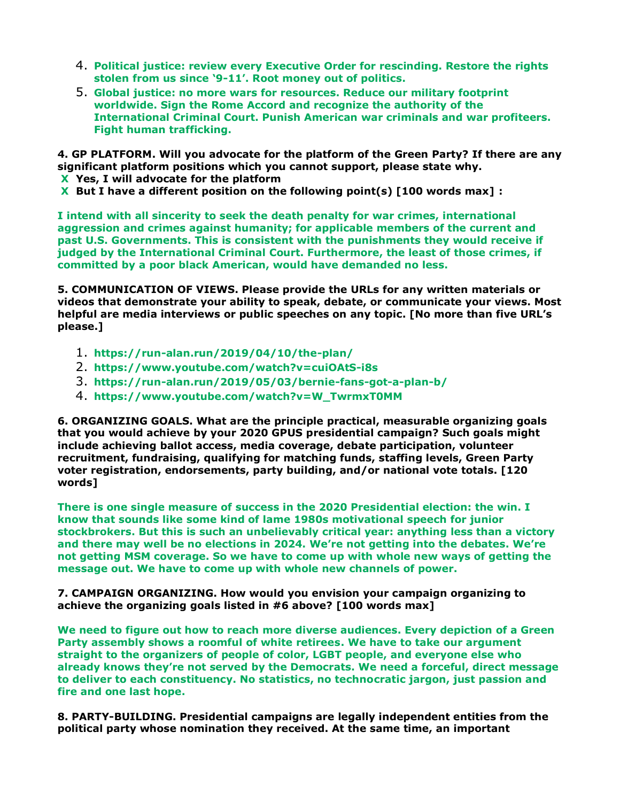- 4. **Political justice: review every Executive Order for rescinding. Restore the rights stolen from us since '9-11'. Root money out of politics.**
- 5. **Global justice: no more wars for resources. Reduce our military footprint worldwide. Sign the Rome Accord and recognize the authority of the International Criminal Court. Punish American war criminals and war profiteers. Fight human trafficking.**

**4. GP PLATFORM. Will you advocate for the platform of the Green Party? If there are any significant platform positions which you cannot support, please state why. X Yes, I will advocate for the platform** 

**X But I have a different position on the following point(s) [100 words max] :** 

**I intend with all sincerity to seek the death penalty for war crimes, international aggression and crimes against humanity; for applicable members of the current and past U.S. Governments. This is consistent with the punishments they would receive if judged by the International Criminal Court. Furthermore, the least of those crimes, if committed by a poor black American, would have demanded no less.**

**5. COMMUNICATION OF VIEWS. Please provide the URLs for any written materials or videos that demonstrate your ability to speak, debate, or communicate your views. Most helpful are media interviews or public speeches on any topic. [No more than five URL's please.]**

- 1. **https://run-alan.run/2019/04/10/the-plan/**
- 2. **https://www.youtube.com/watch?v=cuiOAtS-i8s**
- 3. **https://run-alan.run/2019/05/03/bernie-fans-got-a-plan-b/**
- 4. **https://www.youtube.com/watch?v=W\_TwrmxT0MM**

**6. ORGANIZING GOALS. What are the principle practical, measurable organizing goals that you would achieve by your 2020 GPUS presidential campaign? Such goals might include achieving ballot access, media coverage, debate participation, volunteer recruitment, fundraising, qualifying for matching funds, staffing levels, Green Party voter registration, endorsements, party building, and/or national vote totals. [120 words]**

**There is one single measure of success in the 2020 Presidential election: the win. I know that sounds like some kind of lame 1980s motivational speech for junior stockbrokers. But this is such an unbelievably critical year: anything less than a victory and there may well be no elections in 2024. We're not getting into the debates. We're not getting MSM coverage. So we have to come up with whole new ways of getting the message out. We have to come up with whole new channels of power.**

**7. CAMPAIGN ORGANIZING. How would you envision your campaign organizing to achieve the organizing goals listed in #6 above? [100 words max]**

**We need to figure out how to reach more diverse audiences. Every depiction of a Green Party assembly shows a roomful of white retirees. We have to take our argument straight to the organizers of people of color, LGBT people, and everyone else who already knows they're not served by the Democrats. We need a forceful, direct message to deliver to each constituency. No statistics, no technocratic jargon, just passion and fire and one last hope.**

**8. PARTY-BUILDING. Presidential campaigns are legally independent entities from the political party whose nomination they received. At the same time, an important**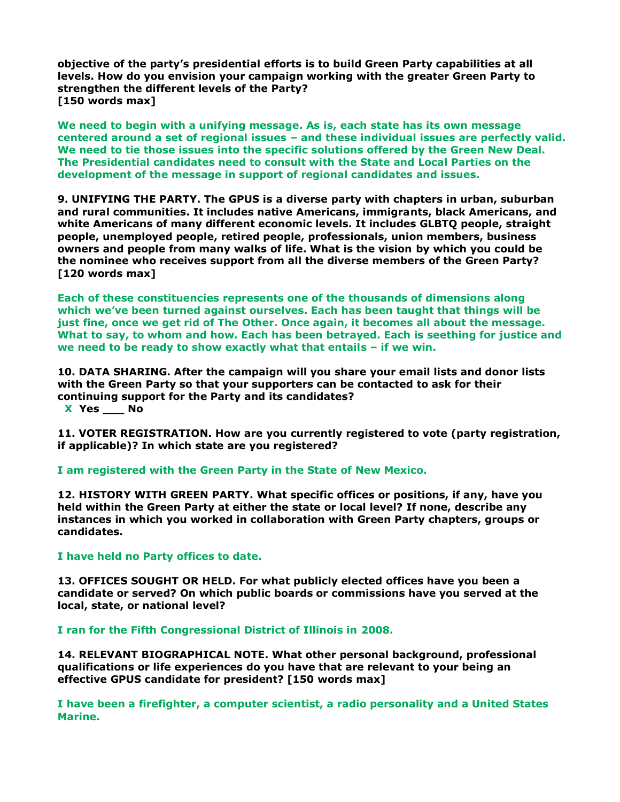**objective of the party's presidential efforts is to build Green Party capabilities at all levels. How do you envision your campaign working with the greater Green Party to strengthen the different levels of the Party? [150 words max]**

**We need to begin with a unifying message. As is, each state has its own message centered around a set of regional issues – and these individual issues are perfectly valid. We need to tie those issues into the specific solutions offered by the Green New Deal. The Presidential candidates need to consult with the State and Local Parties on the development of the message in support of regional candidates and issues.**

**9. UNIFYING THE PARTY. The GPUS is a diverse party with chapters in urban, suburban and rural communities. It includes native Americans, immigrants, black Americans, and white Americans of many different economic levels. It includes GLBTQ people, straight people, unemployed people, retired people, professionals, union members, business owners and people from many walks of life. What is the vision by which you could be the nominee who receives support from all the diverse members of the Green Party? [120 words max]**

**Each of these constituencies represents one of the thousands of dimensions along which we've been turned against ourselves. Each has been taught that things will be just fine, once we get rid of The Other. Once again, it becomes all about the message. What to say, to whom and how. Each has been betrayed. Each is seething for justice and we need to be ready to show exactly what that entails – if we win.**

**10. DATA SHARING. After the campaign will you share your email lists and donor lists with the Green Party so that your supporters can be contacted to ask for their continuing support for the Party and its candidates?** 

 **X Yes \_\_\_ No** 

**11. VOTER REGISTRATION. How are you currently registered to vote (party registration, if applicable)? In which state are you registered?**

**I am registered with the Green Party in the State of New Mexico.**

**12. HISTORY WITH GREEN PARTY. What specific offices or positions, if any, have you held within the Green Party at either the state or local level? If none, describe any instances in which you worked in collaboration with Green Party chapters, groups or candidates.**

**I have held no Party offices to date.**

**13. OFFICES SOUGHT OR HELD. For what publicly elected offices have you been a candidate or served? On which public boards or commissions have you served at the local, state, or national level?**

**I ran for the Fifth Congressional District of Illinois in 2008.**

**14. RELEVANT BIOGRAPHICAL NOTE. What other personal background, professional qualifications or life experiences do you have that are relevant to your being an effective GPUS candidate for president? [150 words max]**

**I have been a firefighter, a computer scientist, a radio personality and a United States Marine.**